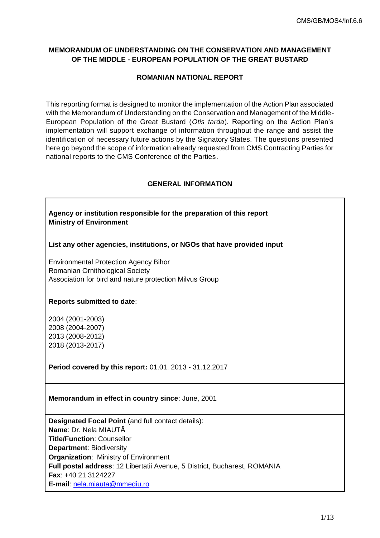# **MEMORANDUM OF UNDERSTANDING ON THE CONSERVATION AND MANAGEMENT OF THE MIDDLE - EUROPEAN POPULATION OF THE GREAT BUSTARD**

## **ROMANIAN NATIONAL REPORT**

This reporting format is designed to monitor the implementation of the Action Plan associated with the Memorandum of Understanding on the Conservation and Management of the Middle-European Population of the Great Bustard (*Otis tarda*). Reporting on the Action Plan's implementation will support exchange of information throughout the range and assist the identification of necessary future actions by the Signatory States. The questions presented here go beyond the scope of information already requested from CMS Contracting Parties for national reports to the CMS Conference of the Parties.

## **GENERAL INFORMATION**

| Agency or institution responsible for the preparation of this report<br><b>Ministry of Environment</b> |
|--------------------------------------------------------------------------------------------------------|
| List any other agencies, institutions, or NGOs that have provided input                                |
| <b>Environmental Protection Agency Bihor</b><br>Romanian Ornithological Society                        |
| Association for bird and nature protection Milvus Group                                                |
| Reports submitted to date:                                                                             |
| 2004 (2001-2003)<br>2008 (2004-2007)<br>2013 (2008-2012)<br>2018 (2013-2017)                           |
| Period covered by this report: 01.01. 2013 - 31.12.2017                                                |
| Memorandum in effect in country since: June, 2001                                                      |
| Designated Focal Point (and full contact details):<br>Name: Dr. Nela MIAUTĂ                            |
| <b>Title/Function: Counsellor</b>                                                                      |
| <b>Department: Biodiversity</b>                                                                        |
| <b>Organization: Ministry of Environment</b>                                                           |
| Full postal address: 12 Libertatii Avenue, 5 District, Bucharest, ROMANIA                              |
| Fax: +40 21 3124227                                                                                    |
| E-mail: nela.miauta@mmediu.ro                                                                          |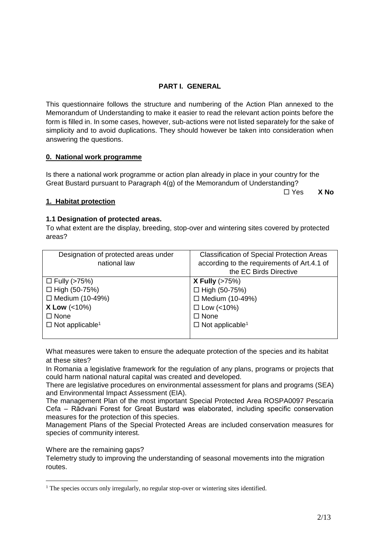# **PART I. GENERAL**

This questionnaire follows the structure and numbering of the Action Plan annexed to the Memorandum of Understanding to make it easier to read the relevant action points before the form is filled in. In some cases, however, sub-actions were not listed separately for the sake of simplicity and to avoid duplications. They should however be taken into consideration when answering the questions.

## **0. National work programme**

Is there a national work programme or action plan already in place in your country for the Great Bustard pursuant to Paragraph 4(g) of the Memorandum of Understanding?

Yes **X No**

## **1. Habitat protection**

## **1.1 Designation of protected areas.**

To what extent are the display, breeding, stop-over and wintering sites covered by protected areas?

| Designation of protected areas under | <b>Classification of Special Protection Areas</b> |
|--------------------------------------|---------------------------------------------------|
| national law                         | according to the requirements of Art.4.1 of       |
|                                      | the EC Birds Directive                            |
| $\Box$ Fully (>75%)                  | <b>X Fully</b> $(>75%)$                           |
| $\Box$ High (50-75%)                 | $\Box$ High (50-75%)                              |
| $\Box$ Medium (10-49%)               | $\Box$ Medium (10-49%)                            |
| <b>X Low <math>(&lt;10\%)</math></b> | $\Box$ Low (<10%)                                 |
| $\Box$ None                          | $\Box$ None                                       |
| $\Box$ Not applicable <sup>1</sup>   | $\Box$ Not applicable <sup>1</sup>                |
|                                      |                                                   |

<span id="page-1-0"></span>What measures were taken to ensure the adequate protection of the species and its habitat at these sites?

In Romania a legislative framework for the regulation of any plans, programs or projects that could harm national natural capital was created and developed.

There are legislative procedures on environmental assessment for plans and programs (SEA) and Environmental Impact Assessment (EIA).

The management Plan of the most important Special Protected Area ROSPA0097 Pescaria Cefa – Rădvani Forest for Great Bustard was elaborated, including specific conservation measures for the protection of this species.

Management Plans of the Special Protected Areas are included conservation measures for species of community interest.

Where are the remaining gaps?

1

Telemetry study to improving the understanding of seasonal movements into the migration routes.

<sup>&</sup>lt;sup>1</sup> The species occurs only irregularly, no regular stop-over or wintering sites identified.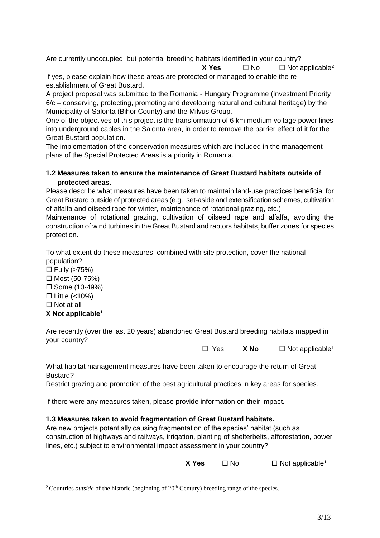Are currently unoccupied, but potential breeding habitats identified in your country? **X** Yes  $\Box$  No  $\Box$  Not applicable<sup>2</sup>

If yes, please explain how these areas are protected or managed to enable the reestablishment of Great Bustard.

A project proposal was submitted to the Romania - Hungary Programme (Investment Priority 6/c – conserving, protecting, promoting and developing natural and cultural heritage) by the Municipality of Salonta (Bihor County) and the Milvus Group.

One of the objectives of this project is the transformation of 6 km medium voltage power lines into underground cables in the Salonta area, in order to remove the barrier effect of it for the Great Bustard population.

The implementation of the conservation measures which are included in the management plans of the Special Protected Areas is a priority in Romania.

## **1.2 Measures taken to ensure the maintenance of Great Bustard habitats outside of protected areas.**

Please describe what measures have been taken to maintain land-use practices beneficial for Great Bustard outside of protected areas (e.g., set-aside and extensification schemes, cultivation of alfalfa and oilseed rape for winter, maintenance of rotational grazing, etc.).

Maintenance of rotational grazing, cultivation of oilseed rape and alfalfa, avoiding the construction of wind turbines in the Great Bustard and raptors habitats, buffer zones for species protection.

To what extent do these measures, combined with site protection, cover the national population?

- $\Box$  Fully (>75%)
- $\Box$  Most (50-75%)
- $\square$  Some (10-49%)
- $\Box$  Little (<10%)
- $\Box$  Not at all

1

# **X Not applicable[1](#page-1-0)**

Are recently (over the last 20 years) abandoned Great Bustard breeding habitats mapped in your country?

□ Yes **X No** □ Not applicable<sup>[1](#page-1-0)</sup>

What habitat management measures have been taken to encourage the return of Great Bustard?

Restrict grazing and promotion of the best agricultural practices in key areas for species.

If there were any measures taken, please provide information on their impact.

# **1.3 Measures taken to avoid fragmentation of Great Bustard habitats.**

Are new projects potentially causing fragmentation of the species' habitat (such as construction of highways and railways, irrigation, planting of shelterbelts, afforestation, power lines, etc.) subject to environmental impact assessment in your country?

|  | X Yes | $\square$ No | $\Box$ Not applicable <sup>1</sup> |
|--|-------|--------------|------------------------------------|
|--|-------|--------------|------------------------------------|

<sup>&</sup>lt;sup>2</sup> Countries *outside* of the historic (beginning of 20<sup>th</sup> Century) breeding range of the species.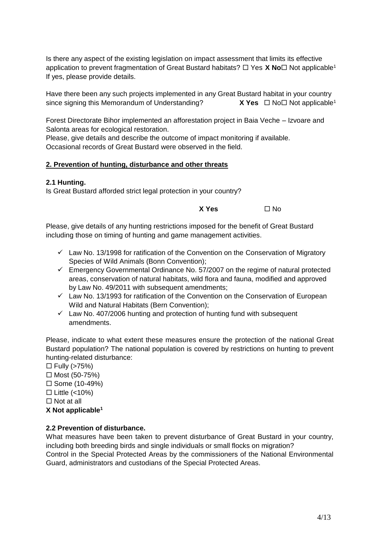Is there any aspect of the existing legislation on impact assessment that limits its effective application to pr[e](#page-1-0)vent fragmentation of Great Bustard habitats?  $\Box$  Yes **X No** $\Box$  Not applicable<sup>1</sup> If yes, please provide details.

Have there been any such projects implemented in any Great Bustard habitat in your country sinc[e](#page-1-0) signing this Memorandum of Understanding? **X Yes □ No**□ Not applicable<sup>1</sup>

Forest Directorate Bihor implemented an afforestation project in Baia Veche – Izvoare and Salonta areas for ecological restoration.

Please, give details and describe the outcome of impact monitoring if available. Occasional records of Great Bustard were observed in the field.

## **2. Prevention of hunting, disturbance and other threats**

## **2.1 Hunting.**

Is Great Bustard afforded strict legal protection in your country?

**x Yes**  $□$  No

Please, give details of any hunting restrictions imposed for the benefit of Great Bustard including those on timing of hunting and game management activities.

- $\checkmark$  Law No. 13/1998 for ratification of the Convention on the Conservation of Migratory Species of Wild Animals (Bonn Convention);
- $\checkmark$  Emergency Governmental Ordinance No. 57/2007 on the regime of natural protected areas, conservation of natural habitats, wild flora and fauna, modified and approved by Law No. 49/2011 with subsequent amendments;
- $\checkmark$  Law No. 13/1993 for ratification of the Convention on the Conservation of European Wild and Natural Habitats (Bern Convention);
- $\checkmark$  Law No. 407/2006 hunting and protection of hunting fund with subsequent amendments.

Please, indicate to what extent these measures ensure the protection of the national Great Bustard population? The national population is covered by restrictions on hunting to prevent hunting-related disturbance:

 $\Box$  Fully (>75%)  $\Box$  Most (50-75%)  $\square$  Some (10-49%)  $\Box$  Little (<10%)  $\Box$  Not at all **X Not applicable[1](#page-1-0)**

## **2.2 Prevention of disturbance.**

What measures have been taken to prevent disturbance of Great Bustard in your country, including both breeding birds and single individuals or small flocks on migration? Control in the Special Protected Areas by the commissioners of the National Environmental Guard, administrators and custodians of the Special Protected Areas.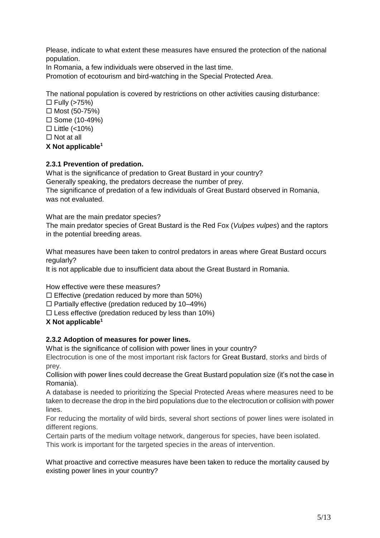Please, indicate to what extent these measures have ensured the protection of the national population.

In Romania, a few individuals were observed in the last time.

Promotion of ecotourism and bird-watching in the Special Protected Area.

The national population is covered by restrictions on other activities causing disturbance:

 $\Box$  Fully (>75%)  $\Box$  Most (50-75%)  $\square$  Some (10-49%)  $\Box$  Little (<10%)  $\Box$  Not at all

# **X Not applicable[1](#page-1-0)**

# **2.3.1 Prevention of predation.**

What is the significance of predation to Great Bustard in your country? Generally speaking, the predators decrease the number of prey. The significance of predation of a few individuals of Great Bustard observed in Romania, was not evaluated.

What are the main predator species?

The main predator species of Great Bustard is the Red Fox (*Vulpes vulpes*) and the raptors in the potential breeding areas.

What measures have been taken to control predators in areas where Great Bustard occurs regularly?

It is not applicable due to insufficient data about the Great Bustard in Romania.

How effective were these measures?

 $\square$  Effective (predation reduced by more than 50%)

 $\Box$  Partially effective (predation reduced by 10–49%)

 $\square$  Less effective (predation reduced by less than 10%)

**X Not applicable[1](#page-1-0)**

## **2.3.2 Adoption of measures for power lines.**

What is the significance of collision with power lines in your country?

Electrocution is one of the most important risk factors for Great Bustard, storks and birds of prey.

Collision with power lines could decrease the Great Bustard population size (it's not the case in Romania).

A database is needed to prioritizing the Special Protected Areas where measures need to be taken to decrease the drop in the bird populations due to the electrocution or collision with power lines.

For reducing the mortality of wild birds, several short sections of power lines were isolated in different regions.

Certain parts of the medium voltage network, dangerous for species, have been isolated. This work is important for the targeted species in the areas of intervention.

What proactive and corrective measures have been taken to reduce the mortality caused by existing power lines in your country?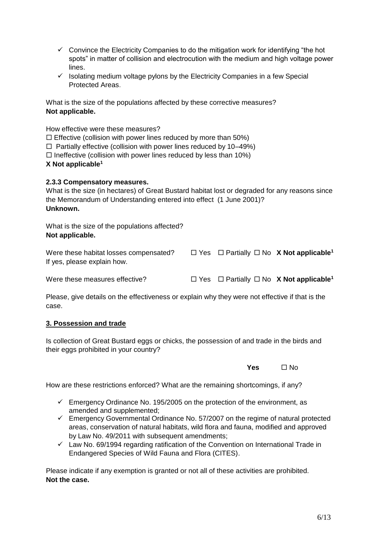- $\checkmark$  Convince the Electricity Companies to do the mitigation work for identifying "the hot spots" in matter of collision and electrocution with the medium and high voltage power lines.
- $\checkmark$  Isolating medium voltage pylons by the Electricity Companies in a few Special Protected Areas.

What is the size of the populations affected by these corrective measures? **Not applicable.**

How effective were these measures?

 $\Box$  Effective (collision with power lines reduced by more than 50%)

 $\Box$  Partially effective (collision with power lines reduced by 10–49%)

 $\Box$  Ineffective (collision with power lines reduced by less than 10%)

## **X Not applicable[1](#page-1-0)**

## **2.3.3 Compensatory measures.**

What is the size (in hectares) of Great Bustard habitat lost or degraded for any reasons since the Memorandum of Understanding entered into effect (1 June 2001)? **Unknown.**

What is the size of the populations affected? **Not applicable.**

| Were these habitat losses compensated? |  | $\Box$ Yes $\Box$ Partially $\Box$ No X Not applicable <sup>1</sup> |
|----------------------------------------|--|---------------------------------------------------------------------|
| If yes, please explain how.            |  |                                                                     |

W[e](#page-1-0)re these measures effective?  $\Box$  Yes  $\Box$  Partially  $\Box$  No **X** Not applicable<sup>1</sup>

Please, give details on the effectiveness or explain why they were not effective if that is the case.

## **3. Possession and trade**

Is collection of Great Bustard eggs or chicks, the possession of and trade in the birds and their eggs prohibited in your country?

**Yes** □ No

How are these restrictions enforced? What are the remaining shortcomings, if any?

- $\checkmark$  Emergency Ordinance No. 195/2005 on the protection of the environment, as amended and supplemented;
- $\checkmark$  Emergency Governmental Ordinance No. 57/2007 on the regime of natural protected areas, conservation of natural habitats, wild flora and fauna, modified and approved by Law No. 49/2011 with subsequent amendments;
- $\checkmark$  Law No. 69/1994 regarding ratification of the Convention on International Trade in Endangered Species of Wild Fauna and Flora (CITES).

Please indicate if any exemption is granted or not all of these activities are prohibited. **Not the case.**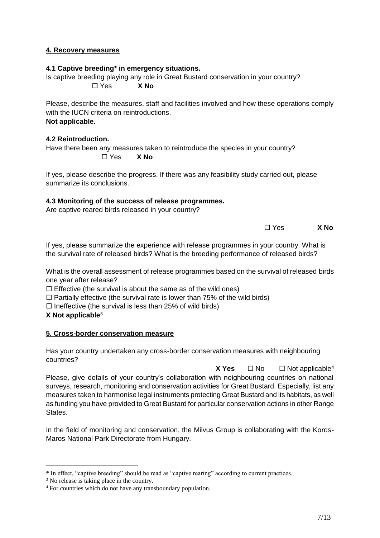## **4. Recovery measures**

## **4.1 Captive breeding\* in emergency situations.**

Is captive breeding playing any role in Great Bustard conservation in your country? Yes **X No**

Please, describe the measures, staff and facilities involved and how these operations comply with the IUCN criteria on reintroductions. **Not applicable.**

## **4.2 Reintroduction.**

Have there been any measures taken to reintroduce the species in your country? Yes **X No**

If yes, please describe the progress. If there was any feasibility study carried out, please summarize its conclusions.

## **4.3 Monitoring of the success of release programmes.**

Are captive reared birds released in your country?

Yes **X No**

If yes, please summarize the experience with release programmes in your country. What is the survival rate of released birds? What is the breeding performance of released birds?

What is the overall assessment of release programmes based on the survival of released birds one year after release?

 $\Box$  Effective (the survival is about the same as of the wild ones)

 $\Box$  Partially effective (the survival rate is lower than 75% of the wild birds)

 $\Box$  Ineffective (the survival is less than 25% of wild birds)

**X Not applicable**<sup>3</sup>

## **5. Cross-border conservation measure**

Has your country undertaken any cross-border conservation measures with neighbouring countries?

**X** Yes  $\Box$  No  $\Box$  Not applicable<sup>4</sup> Please, give details of your country's collaboration with neighbouring countries on national surveys, research, monitoring and conservation activities for Great Bustard. Especially, list any measures taken to harmonise legal instruments protecting Great Bustard and its habitats, as well as funding you have provided to Great Bustard for particular conservation actions in other Range States.

In the field of monitoring and conservation, the Milvus Group is collaborating with the Koros-Maros National Park Directorate from Hungary.

<u>.</u>

<sup>\*</sup> In effect, "captive breeding" should be read as "captive rearing" according to current practices.

<sup>&</sup>lt;sup>3</sup> No release is taking place in the country.

<sup>4</sup> For countries which do not have any transboundary population.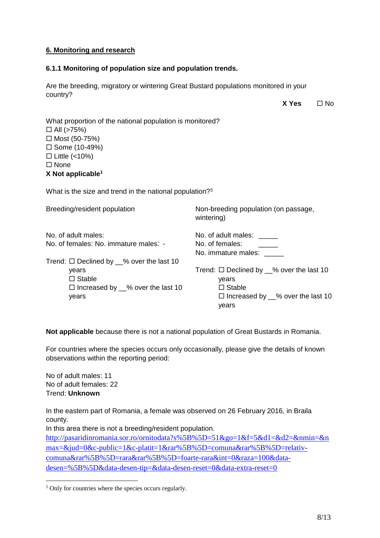## **6. Monitoring and research**

## **6.1.1 Monitoring of population size and population trends.**

Are the breeding, migratory or wintering Great Bustard populations monitored in your country?

 $X$  **Yes**  $\Pi$  No

| What proportion of the national population is monitored? |
|----------------------------------------------------------|
| $\Box$ All (>75%)                                        |
| $\Box$ Most (50-75%)                                     |
| □ Some $(10-49%)$                                        |
| $\Box$ Little (<10%)                                     |
| $\square$ None                                           |
|                                                          |

**X Not applicable[1](#page-1-0)**

What is the size and trend in the national population?<sup>5</sup>

| Non-breeding population (on passage,<br>wintering) |
|----------------------------------------------------|
| No. of adult males: _____                          |
| No. of females:<br>No. immature males:             |
|                                                    |
| Trend: $\Box$ Declined by $\_\%$ over the last 10  |
| years                                              |
| $\Box$ Stable                                      |
| $\Box$ Increased by __% over the last 10<br>years  |
|                                                    |

**Not applicable** because there is not a national population of Great Bustards in Romania.

For countries where the species occurs only occasionally, please give the details of known observations within the reporting period:

No of adult males: 11 No of adult females: 22 Trend: **Unknown**

1

In the eastern part of Romania, a female was observed on 26 February 2016, in Braila county.

In this area there is not a breeding/resident population.

[http://pasaridinromania.sor.ro/ornitodata?s%5B%5D=51&go=1&f=5&d1=&d2=&nmin=&n](http://pasaridinromania.sor.ro/ornitodata?s%5B%5D=51&go=1&f=5&d1=&d2=&nmin=&nmax=&jud=0&c-public=1&c-platit=1&rar%5B%5D=comuna&rar%5B%5D=relativ-comuna&rar%5B%5D=rara&rar%5B%5D=foarte-rara&int=0&raza=100&data-desen=%5B%5D&data-desen-tip=&data-desen-reset=0&data-extra-reset=0) [max=&jud=0&c-public=1&c-platit=1&rar%5B%5D=comuna&rar%5B%5D=relativ](http://pasaridinromania.sor.ro/ornitodata?s%5B%5D=51&go=1&f=5&d1=&d2=&nmin=&nmax=&jud=0&c-public=1&c-platit=1&rar%5B%5D=comuna&rar%5B%5D=relativ-comuna&rar%5B%5D=rara&rar%5B%5D=foarte-rara&int=0&raza=100&data-desen=%5B%5D&data-desen-tip=&data-desen-reset=0&data-extra-reset=0)[comuna&rar%5B%5D=rara&rar%5B%5D=foarte-rara&int=0&raza=100&data](http://pasaridinromania.sor.ro/ornitodata?s%5B%5D=51&go=1&f=5&d1=&d2=&nmin=&nmax=&jud=0&c-public=1&c-platit=1&rar%5B%5D=comuna&rar%5B%5D=relativ-comuna&rar%5B%5D=rara&rar%5B%5D=foarte-rara&int=0&raza=100&data-desen=%5B%5D&data-desen-tip=&data-desen-reset=0&data-extra-reset=0)[desen=%5B%5D&data-desen-tip=&data-desen-reset=0&data-extra-reset=0](http://pasaridinromania.sor.ro/ornitodata?s%5B%5D=51&go=1&f=5&d1=&d2=&nmin=&nmax=&jud=0&c-public=1&c-platit=1&rar%5B%5D=comuna&rar%5B%5D=relativ-comuna&rar%5B%5D=rara&rar%5B%5D=foarte-rara&int=0&raza=100&data-desen=%5B%5D&data-desen-tip=&data-desen-reset=0&data-extra-reset=0)

<sup>&</sup>lt;sup>5</sup> Only for countries where the species occurs regularly.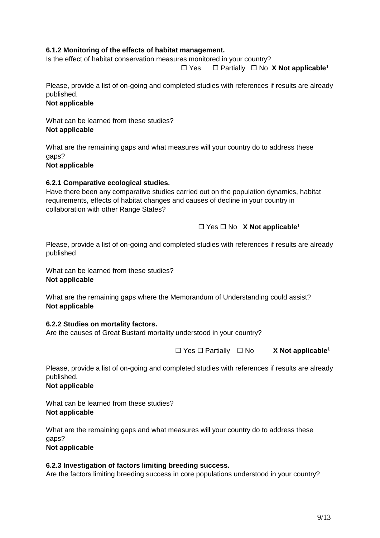# **6.1.2 Monitoring of the effects of habitat management.**

Is the effect of habitat conservation measures monitored in your country?

Yes Partially No **X Not applicable**[1](#page-1-0)

Please, provide a list of on-going and completed studies with references if results are already published.

# **Not applicable**

What can be learned from these studies? **Not applicable**

What are the remaining gaps and what measures will your country do to address these gaps?

**Not applicable**

## **6.2.1 Comparative ecological studies.**

Have there been any comparative studies carried out on the population dynamics, habitat requirements, effects of habitat changes and causes of decline in your country in collaboration with other Range States?

# □ Yes □ No **X** Not applicable<sup>[1](#page-1-0)</sup>

Please, provide a list of on-going and completed studies with references if results are already published

What can be learned from these studies? **Not applicable**

What are the remaining gaps where the Memorandum of Understanding could assist? **Not applicable**

## **6.2.2 Studies on mortality factors.**

Are the causes of Great Bustard mortality understood in your country?

Yes Partially No **X Not applicable[1](#page-1-0)**

Please, provide a list of on-going and completed studies with references if results are already published.

## **Not applicable**

What can be learned from these studies? **Not applicable**

What are the remaining gaps and what measures will your country do to address these gaps? **Not applicable**

# **6.2.3 Investigation of factors limiting breeding success.**

Are the factors limiting breeding success in core populations understood in your country?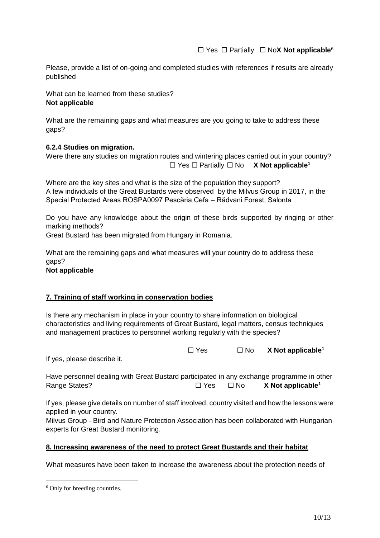Please, provide a list of on-going and completed studies with references if results are already published

What can be learned from these studies? **Not applicable**

What are the remaining gaps and what measures are you going to take to address these gaps?

## **6.2.4 Studies on migration.**

Were there any studies on migration routes and wintering places carried out in your country?  $\Box$  Yes  $\Box$  Partially  $\Box$  No **X** Not applicable<sup>[1](#page-1-0)</sup>

Where are the key sites and what is the size of the population they support? A few individuals of the Great Bustards were observed by the Milvus Group in 2017, in the Special Protected Areas ROSPA0097 Pescăria Cefa – Rădvani Forest, Salonta

Do you have any knowledge about the origin of these birds supported by ringing or other marking methods?

Great Bustard has been migrated from Hungary in Romania.

What are the remaining gaps and what measures will your country do to address these gaps? **Not applicable**

## **7. Training of staff working in conservation bodies**

Is there any mechanism in place in your country to share information on biological characteristics and living requirements of Great Bustard, legal matters, census techniques and management practices to personnel working regularly with the species?

|  | $\Box$ Yes | $\square$ No | $X$ Not applicable <sup>1</sup> |
|--|------------|--------------|---------------------------------|
|--|------------|--------------|---------------------------------|

If yes, please describe it.

| Have personnel dealing with Great Bustard participated in any exchange programme in other |            |      |                               |
|-------------------------------------------------------------------------------------------|------------|------|-------------------------------|
| Range States?                                                                             | $\Box$ Yes | ⊟ No | X Not applicable <sup>1</sup> |

If yes, please give details on number of staff involved, country visited and how the lessons were applied in your country.

Milvus Group - Bird and Nature Protection Association has been collaborated with Hungarian experts for Great Bustard monitoring.

## **8. Increasing awareness of the need to protect Great Bustards and their habitat**

What measures have been taken to increase the awareness about the protection needs of

1

<sup>6</sup> Only for breeding countries.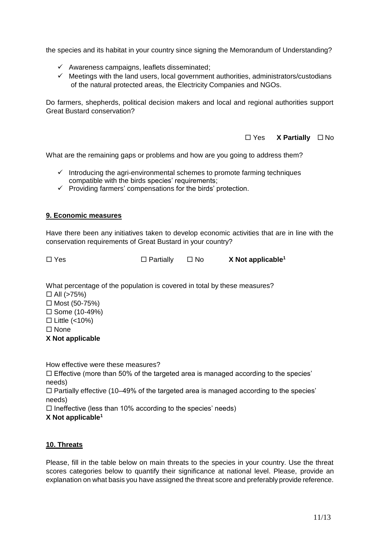the species and its habitat in your country since signing the Memorandum of Understanding?

- $\checkmark$  Awareness campaigns, leaflets disseminated;
- $\checkmark$  Meetings with the land users, local government authorities, administrators/custodians of the natural protected areas, the Electricity Companies and NGOs.

Do farmers, shepherds, political decision makers and local and regional authorities support Great Bustard conservation?

□ Yes **X** Partially □ No

What are the remaining gaps or problems and how are you going to address them?

- $\checkmark$  Introducing the agri-environmental schemes to promote farming techniques compatible with the birds species' requirements;
- $\checkmark$  Providing farmers' compensations for the birds' protection.

#### **9. Economic measures**

Have there been any initiatives taken to develop economic activities that are in line with the conservation requirements of Great Bustard in your country?

□ Y[e](#page-1-0)s □ Partially □ No X**Not applicable<sup>1</sup>** 

What percentage of the population is covered in total by these measures?

 $\Box$  All (>75%)

 $\Box$  Most (50-75%)

 $\square$  Some (10-49%)

 $\Box$  Little (<10%)

□ None

**X Not applicable**

How effective were these measures?

 $\square$  Effective (more than 50% of the targeted area is managed according to the species' needs)

 $\Box$  Partially effective (10–49% of the targeted area is managed according to the species' needs)

 $\Box$  Ineffective (less than 10% according to the species' needs)

**X Not applicable[1](#page-1-0)**

## **10. Threats**

Please, fill in the table below on main threats to the species in your country. Use the threat scores categories below to quantify their significance at national level. Please, provide an explanation on what basis you have assigned the threat score and preferably provide reference.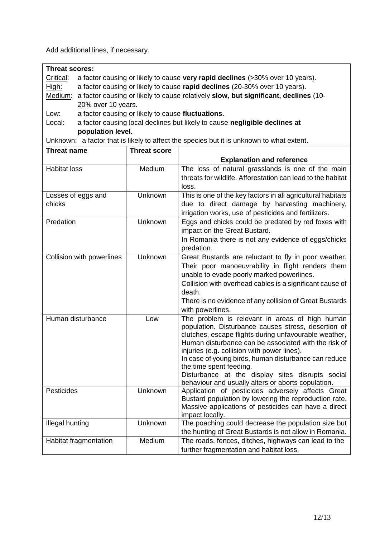Add additional lines, if necessary.

| <b>Threat scores:</b> |                                                                                             |  |  |
|-----------------------|---------------------------------------------------------------------------------------------|--|--|
| Critical:             | a factor causing or likely to cause very rapid declines (>30% over 10 years).               |  |  |
| High:                 | a factor causing or likely to cause rapid declines (20-30% over 10 years).                  |  |  |
|                       | Medium: a factor causing or likely to cause relatively slow, but significant, declines (10- |  |  |
|                       | 20% over 10 years.                                                                          |  |  |
| <u>Low:</u>           | a factor causing or likely to cause fluctuations.                                           |  |  |

Local: a factor causing local declines but likely to cause **negligible declines at population level.**

Unknown: a factor that is likely to affect the species but it is unknown to what extent.

| <b>Threat name</b>        | <b>Threat score</b> |                                                                                                                  |
|---------------------------|---------------------|------------------------------------------------------------------------------------------------------------------|
|                           |                     | <b>Explanation and reference</b>                                                                                 |
| <b>Habitat loss</b>       | Medium              | The loss of natural grasslands is one of the main<br>threats for wildlife. Afforestation can lead to the habitat |
|                           |                     | loss.                                                                                                            |
| Losses of eggs and        | Unknown             | This is one of the key factors in all agricultural habitats                                                      |
| chicks                    |                     | due to direct damage by harvesting machinery,                                                                    |
|                           |                     | irrigation works, use of pesticides and fertilizers.                                                             |
| Predation                 | Unknown             | Eggs and chicks could be predated by red foxes with<br>impact on the Great Bustard.                              |
|                           |                     | In Romania there is not any evidence of eggs/chicks                                                              |
|                           |                     | predation.                                                                                                       |
| Collision with powerlines | Unknown             | Great Bustards are reluctant to fly in poor weather.                                                             |
|                           |                     | Their poor manoeuvrability in flight renders them                                                                |
|                           |                     | unable to evade poorly marked powerlines.                                                                        |
|                           |                     | Collision with overhead cables is a significant cause of                                                         |
|                           |                     | death.                                                                                                           |
|                           |                     | There is no evidence of any collision of Great Bustards                                                          |
|                           |                     | with powerlines.                                                                                                 |
| Human disturbance         | Low                 | The problem is relevant in areas of high human<br>population. Disturbance causes stress, desertion of            |
|                           |                     | clutches, escape flights during unfavourable weather,                                                            |
|                           |                     | Human disturbance can be associated with the risk of                                                             |
|                           |                     | injuries (e.g. collision with power lines).                                                                      |
|                           |                     | In case of young birds, human disturbance can reduce                                                             |
|                           |                     | the time spent feeding.                                                                                          |
|                           |                     | Disturbance at the display sites disrupts social                                                                 |
| Pesticides                |                     | behaviour and usually alters or aborts copulation.                                                               |
|                           | Unknown             | Application of pesticides adversely affects Great<br>Bustard population by lowering the reproduction rate.       |
|                           |                     | Massive applications of pesticides can have a direct                                                             |
|                           |                     | impact locally.                                                                                                  |
| <b>Illegal hunting</b>    | Unknown             | The poaching could decrease the population size but                                                              |
|                           |                     | the hunting of Great Bustards is not allow in Romania.                                                           |
| Habitat fragmentation     | Medium              | The roads, fences, ditches, highways can lead to the                                                             |
|                           |                     | further fragmentation and habitat loss.                                                                          |